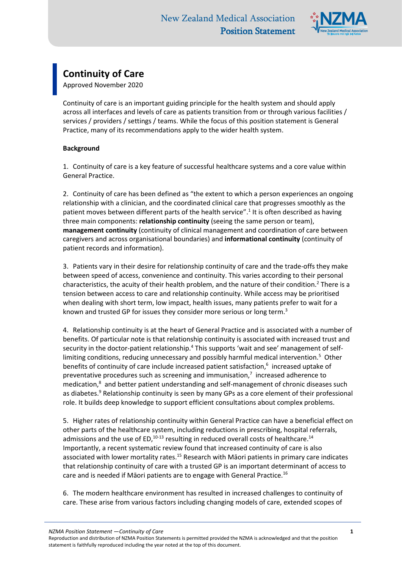

## **Continuity of Care**

Approved November 2020

Continuity of care is an important guiding principle for the health system and should apply across all interfaces and levels of care as patients transition from or through various facilities / services / providers / settings / teams. While the focus of this position statement is General Practice, many of its recommendations apply to the wider health system.

## **Background**

1. Continuity of care is a key feature of successful healthcare systems and a core value within General Practice.

2. Continuity of care has been defined as "the extent to which a person experiences an ongoing relationship with a clinician, and the coordinated clinical care that progresses smoothly as the patient moves between different parts of the health service".<sup>1</sup> It is often described as having three main components: **relationship continuity** (seeing the same person or team), **management continuity** (continuity of clinical management and coordination of care between caregivers and across organisational boundaries) and **informational continuity** (continuity of patient records and information).

3. Patients vary in their desire for relationship continuity of care and the trade-offs they make between speed of access, convenience and continuity. This varies according to their personal characteristics, the acuity of their health problem, and the nature of their condition.<sup>2</sup> There is a tension between access to care and relationship continuity. While access may be prioritised when dealing with short term, low impact, health issues, many patients prefer to wait for a known and trusted GP for issues they consider more serious or long term.<sup>3</sup>

4. Relationship continuity is at the heart of General Practice and is associated with a number of benefits. Of particular note is that relationship continuity is associated with increased trust and security in the doctor-patient relationship.<sup>4</sup> This supports 'wait and see' management of selflimiting conditions, reducing unnecessary and possibly harmful medical intervention.<sup>5</sup> Other benefits of continuity of care include increased patient satisfaction,<sup>6</sup> increased uptake of preventative procedures such as screening and immunisation,<sup>7</sup> increased adherence to medication, <sup>8</sup> and better patient understanding and self-management of chronic diseases such as diabetes.<sup>9</sup> Relationship continuity is seen by many GPs as a core element of their professional role. It builds deep knowledge to support efficient consultations about complex problems.

5. Higher rates of relationship continuity within General Practice can have a beneficial effect on other parts of the healthcare system, including reductions in prescribing, hospital referrals, admissions and the use of ED,<sup>10-13</sup> resulting in reduced overall costs of healthcare.<sup>14</sup> Importantly, a recent systematic review found that increased continuity of care is also associated with lower mortality rates.<sup>15</sup> Research with Māori patients in primary care indicates that relationship continuity of care with a trusted GP is an important determinant of access to care and is needed if Māori patients are to engage with General Practice.<sup>16</sup>

6. The modern healthcare environment has resulted in increased challenges to continuity of care. These arise from various factors including changing models of care, extended scopes of

*NZMA Position Statement —Continuity of Care* **1**

Reproduction and distribution of NZMA Position Statements is permitted provided the NZMA is acknowledged and that the position statement is faithfully reproduced including the year noted at the top of this document.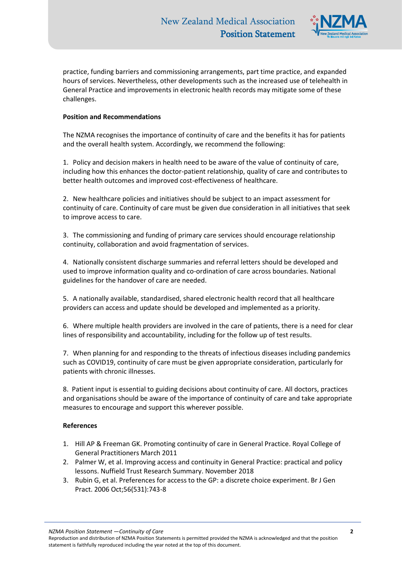

practice, funding barriers and commissioning arrangements, part time practice, and expanded hours of services. Nevertheless, other developments such as the increased use of telehealth in General Practice and improvements in electronic health records may mitigate some of these challenges.

## **Position and Recommendations**

The NZMA recognises the importance of continuity of care and the benefits it has for patients and the overall health system. Accordingly, we recommend the following:

1. Policy and decision makers in health need to be aware of the value of continuity of care, including how this enhances the doctor-patient relationship, quality of care and contributes to better health outcomes and improved cost-effectiveness of healthcare.

2. New healthcare policies and initiatives should be subject to an impact assessment for continuity of care. Continuity of care must be given due consideration in all initiatives that seek to improve access to care.

3. The commissioning and funding of primary care services should encourage relationship continuity, collaboration and avoid fragmentation of services.

4. Nationally consistent discharge summaries and referral letters should be developed and used to improve information quality and co-ordination of care across boundaries. National guidelines for the handover of care are needed.

5. A nationally available, standardised, shared electronic health record that all healthcare providers can access and update should be developed and implemented as a priority.

6. Where multiple health providers are involved in the care of patients, there is a need for clear lines of responsibility and accountability, including for the follow up of test results.

7. When planning for and responding to the threats of infectious diseases including pandemics such as COVID19, continuity of care must be given appropriate consideration, particularly for patients with chronic illnesses.

8. Patient input is essential to guiding decisions about continuity of care. All doctors, practices and organisations should be aware of the importance of continuity of care and take appropriate measures to encourage and support this wherever possible.

## **References**

- 1. Hill AP & Freeman GK. Promoting continuity of care in General Practice. Royal College of General Practitioners March 2011
- 2. Palmer W, et al. Improving access and continuity in General Practice: practical and policy lessons. Nuffield Trust Research Summary. November 2018
- 3. Rubin G, et al. Preferences for access to the GP: a discrete choice experiment. Br J Gen Pract. 2006 Oct;56(531):743-8

*NZMA Position Statement —Continuity of Care* **2**